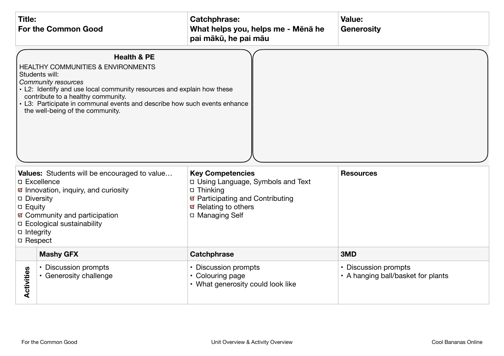| <b>Title:</b><br><b>For the Common Good</b> |                                                                                                                                                                                                                                                                                                                                                                                                                                                                                                                                                                                                                                                                                                                                                                  | <b>Catchphrase:</b><br>What helps you, helps me - Mēnā he<br>pai mākū, he pai māu | Value:<br><b>Generosity</b>                                |
|---------------------------------------------|------------------------------------------------------------------------------------------------------------------------------------------------------------------------------------------------------------------------------------------------------------------------------------------------------------------------------------------------------------------------------------------------------------------------------------------------------------------------------------------------------------------------------------------------------------------------------------------------------------------------------------------------------------------------------------------------------------------------------------------------------------------|-----------------------------------------------------------------------------------|------------------------------------------------------------|
| □ Integrity<br>□ Respect                    | <b>Health &amp; PE</b><br><b>HEALTHY COMMUNITIES &amp; ENVIRONMENTS</b><br>Students will:<br><b>Community resources</b><br>• L2: Identify and use local community resources and explain how these<br>contribute to a healthy community.<br>• L3: Participate in communal events and describe how such events enhance<br>the well-being of the community.<br>Values: Students will be encouraged to value<br><b>Key Competencies</b><br><b>Resources</b><br>D Using Language, Symbols and Text<br><b>D</b> Excellence<br>☑ Innovation, inquiry, and curiosity<br>□ Thinking<br>☑ Participating and Contributing<br>Diversity<br><b>Ø</b> Relating to others<br>a Equity<br>☑ Community and participation<br>□ Managing Self<br><b>D</b> Ecological sustainability |                                                                                   |                                                            |
|                                             | <b>Mashy GFX</b>                                                                                                                                                                                                                                                                                                                                                                                                                                                                                                                                                                                                                                                                                                                                                 | <b>Catchphrase</b>                                                                | 3MD                                                        |
| <b>Activities</b>                           | • Discussion prompts<br>• Generosity challenge                                                                                                                                                                                                                                                                                                                                                                                                                                                                                                                                                                                                                                                                                                                   | • Discussion prompts<br>• Colouring page<br>• What generosity could look like     | • Discussion prompts<br>• A hanging ball/basket for plants |